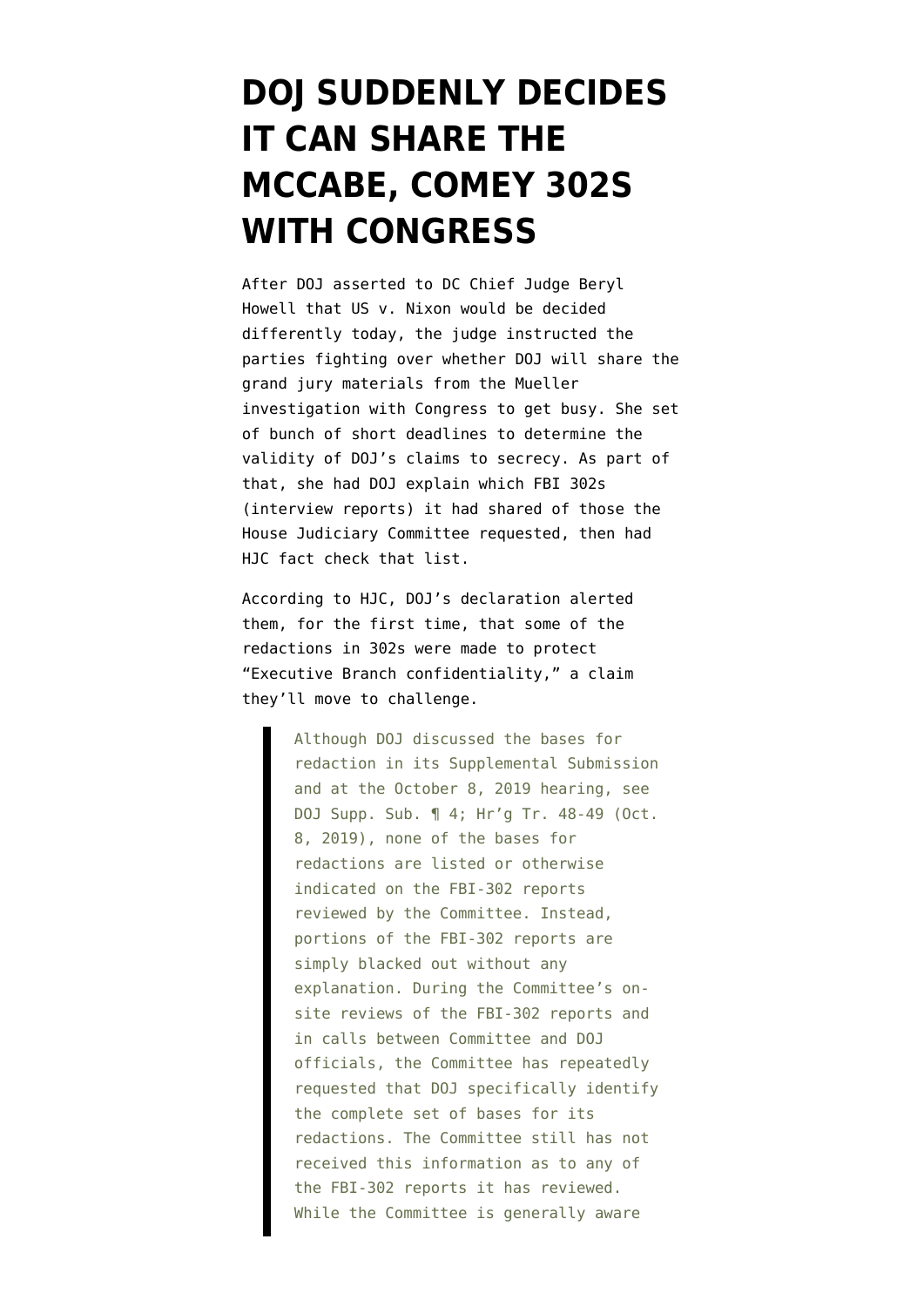## **[DOJ SUDDENLY DECIDES](https://www.emptywheel.net/2019/10/10/doj-suddenly-decides-it-can-share-the-mccabe-comey-302s-with-congress/) [IT CAN SHARE THE](https://www.emptywheel.net/2019/10/10/doj-suddenly-decides-it-can-share-the-mccabe-comey-302s-with-congress/) [MCCABE, COMEY 302S](https://www.emptywheel.net/2019/10/10/doj-suddenly-decides-it-can-share-the-mccabe-comey-302s-with-congress/) [WITH CONGRESS](https://www.emptywheel.net/2019/10/10/doj-suddenly-decides-it-can-share-the-mccabe-comey-302s-with-congress/)**

After DOJ asserted to DC Chief Judge Beryl Howell that US v. Nixon would be decided differently today, the judge instructed the parties fighting over whether DOJ will share the grand jury materials from the Mueller investigation with Congress to get busy. She set of bunch of short deadlines to determine the validity of DOJ's claims to secrecy. As part of that, she had DOJ [explain](https://www.courtlistener.com/recap/gov.uscourts.dcd.209590/gov.uscourts.dcd.209590.37.0.pdf) which FBI 302s (interview reports) it had shared of those the House Judiciary Committee requested, then had HJC [fact check](https://www.courtlistener.com/recap/gov.uscourts.dcd.209590/gov.uscourts.dcd.209590.39.0.pdf) that list.

According to HJC, DOJ's declaration alerted them, for the first time, that some of the redactions in 302s were made to protect "Executive Branch confidentiality," a claim they'll move to challenge.

> Although DOJ discussed the bases for redaction in its Supplemental Submission and at the October 8, 2019 hearing, see DOJ Supp. Sub. ¶ 4; Hr'g Tr. 48-49 (Oct. 8, 2019), none of the bases for redactions are listed or otherwise indicated on the FBI-302 reports reviewed by the Committee. Instead, portions of the FBI-302 reports are simply blacked out without any explanation. During the Committee's onsite reviews of the FBI-302 reports and in calls between Committee and DOJ officials, the Committee has repeatedly requested that DOJ specifically identify the complete set of bases for its redactions. The Committee still has not received this information as to any of the FBI-302 reports it has reviewed. While the Committee is generally aware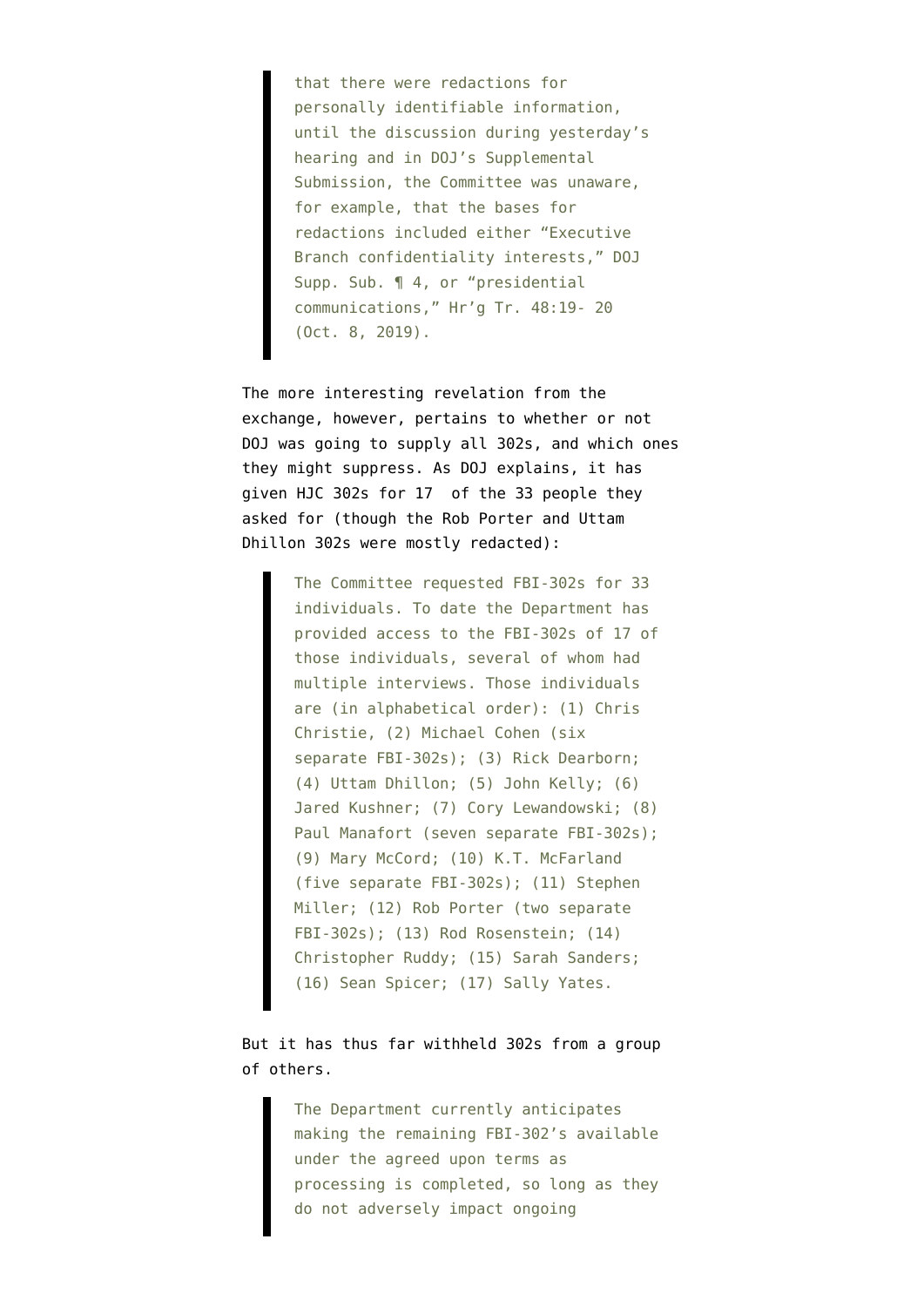that there were redactions for personally identifiable information, until the discussion during yesterday's hearing and in DOJ's Supplemental Submission, the Committee was unaware, for example, that the bases for redactions included either "Executive Branch confidentiality interests," DOJ Supp. Sub. ¶ 4, or "presidential communications," Hr'g Tr. 48:19- 20 (Oct. 8, 2019).

The more interesting revelation from the exchange, however, pertains to whether or not DOJ was going to supply all 302s, and which ones they might suppress. As DOJ explains, it has given HJC 302s for 17 of the 33 people they asked for (though the Rob Porter and Uttam Dhillon 302s were mostly redacted):

> The Committee requested FBI-302s for 33 individuals. To date the Department has provided access to the FBI-302s of 17 of those individuals, several of whom had multiple interviews. Those individuals are (in alphabetical order): (1) Chris Christie, (2) Michael Cohen (six separate FBI-302s); (3) Rick Dearborn; (4) Uttam Dhillon; (5) John Kelly; (6) Jared Kushner; (7) Cory Lewandowski; (8) Paul Manafort (seven separate FBI-302s); (9) Mary McCord; (10) K.T. McFarland (five separate FBI-302s); (11) Stephen Miller; (12) Rob Porter (two separate FBI-302s); (13) Rod Rosenstein; (14) Christopher Ruddy; (15) Sarah Sanders; (16) Sean Spicer; (17) Sally Yates.

But it has thus far withheld 302s from a group of others.

> The Department currently anticipates making the remaining FBI-302's available under the agreed upon terms as processing is completed, so long as they do not adversely impact ongoing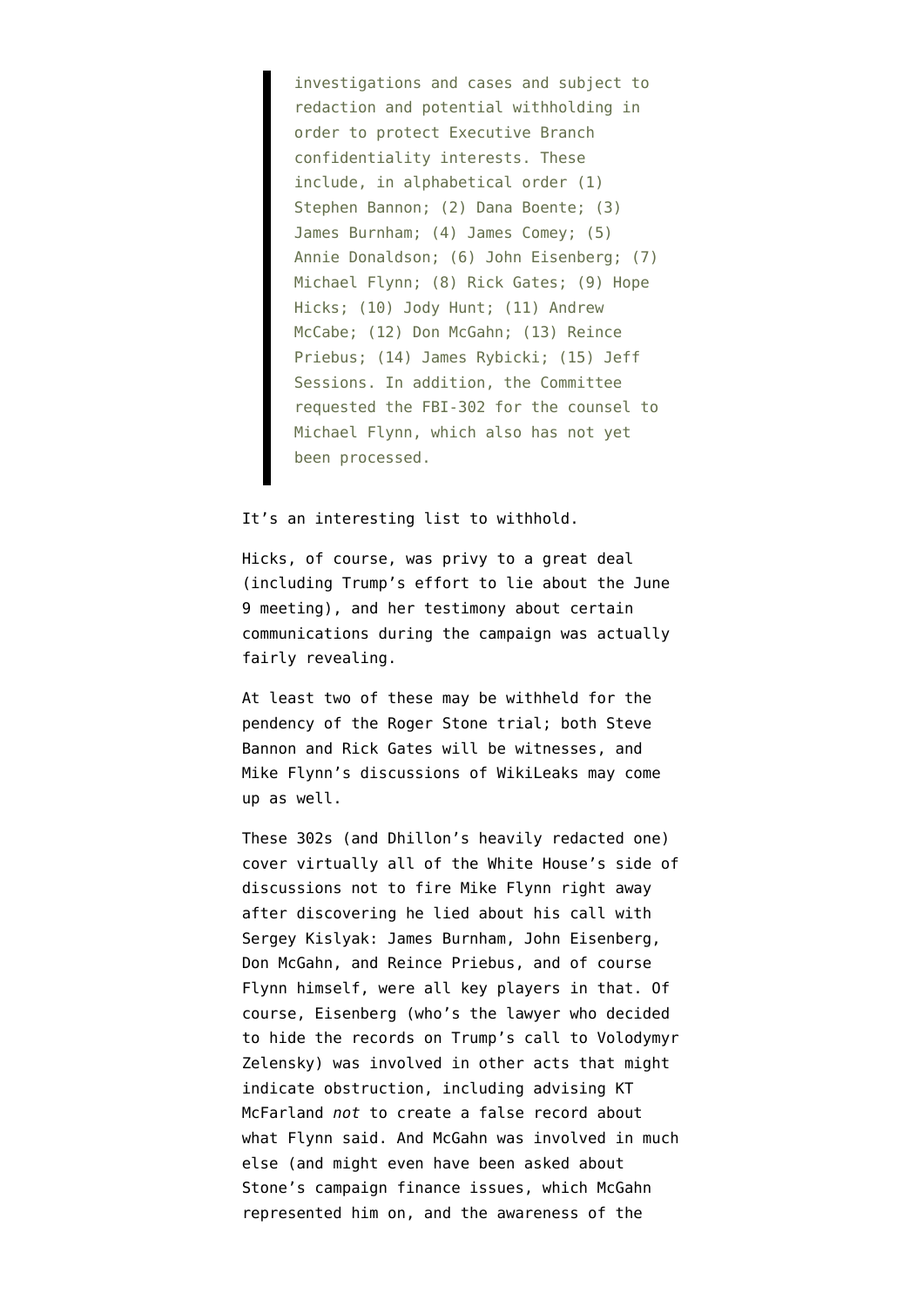investigations and cases and subject to redaction and potential withholding in order to protect Executive Branch confidentiality interests. These include, in alphabetical order (1) Stephen Bannon; (2) Dana Boente; (3) James Burnham; (4) James Comey; (5) Annie Donaldson; (6) John Eisenberg; (7) Michael Flynn; (8) Rick Gates; (9) Hope Hicks; (10) Jody Hunt; (11) Andrew McCabe; (12) Don McGahn; (13) Reince Priebus; (14) James Rybicki; (15) Jeff Sessions. In addition, the Committee requested the FBI-302 for the counsel to Michael Flynn, which also has not yet been processed.

## It's an interesting list to withhold.

Hicks, of course, was privy to a great deal (including Trump's effort to lie about the June 9 meeting), and her testimony about certain communications during the campaign was actually fairly revealing.

At least two of these may be withheld for the pendency of the Roger Stone trial; both Steve Bannon and Rick Gates will be witnesses, and Mike Flynn's discussions of WikiLeaks may come up as well.

These 302s (and Dhillon's heavily redacted one) cover virtually all of the White House's side of discussions not to fire Mike Flynn right away after discovering he lied about his call with Sergey Kislyak: James Burnham, John Eisenberg, Don McGahn, and Reince Priebus, and of course Flynn himself, were all key players in that. Of course, Eisenberg (who's the lawyer who decided to hide the records on Trump's call to Volodymyr Zelensky) was involved in other acts that might indicate obstruction, including advising KT McFarland *not* to create a false record about what Flynn said. And McGahn was involved in much else (and might even have been asked about Stone's campaign finance issues, which McGahn represented him on, and the awareness of the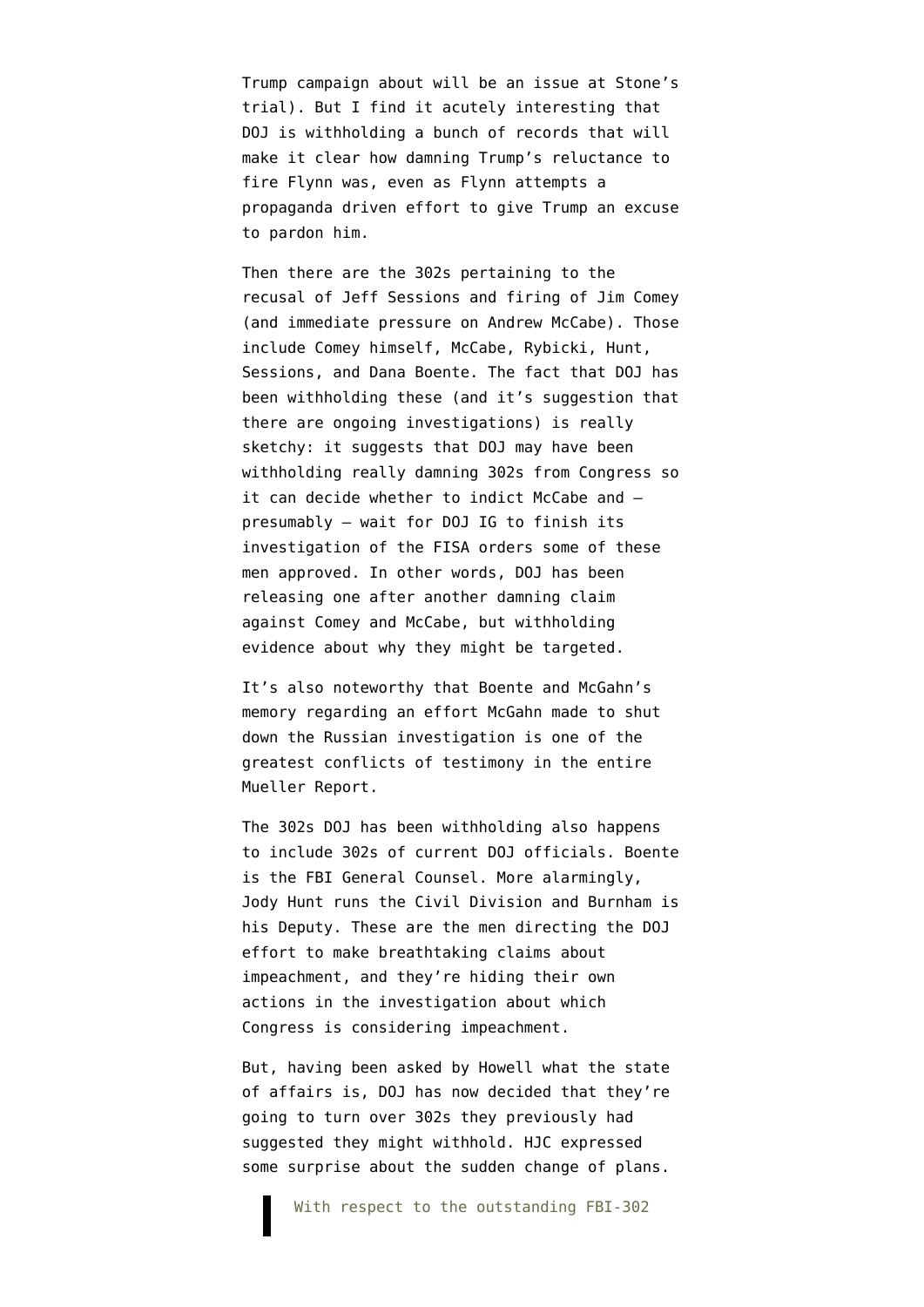Trump campaign about will be an issue at Stone's trial). But I find it acutely interesting that DOJ is withholding a bunch of records that will make it clear how damning Trump's reluctance to fire Flynn was, even as Flynn attempts a propaganda driven effort to give Trump an excuse to pardon him.

Then there are the 302s pertaining to the recusal of Jeff Sessions and firing of Jim Comey (and immediate pressure on Andrew McCabe). Those include Comey himself, McCabe, Rybicki, Hunt, Sessions, and Dana Boente. The fact that DOJ has been withholding these (and it's suggestion that there are ongoing investigations) is really sketchy: it suggests that DOJ may have been withholding really damning 302s from Congress so it can decide whether to indict McCabe and presumably — wait for DOJ IG to finish its investigation of the FISA orders some of these men approved. In other words, DOJ has been releasing one after another damning claim against Comey and McCabe, but withholding evidence about why they might be targeted.

It's also noteworthy that Boente and McGahn's memory regarding an effort McGahn made to shut down the Russian investigation is one of the greatest conflicts of testimony in [the entire](https://assets.documentcloud.org/documents/6002293/190322-Redacted-Mueller-Report.pdf) [Mueller Report](https://assets.documentcloud.org/documents/6002293/190322-Redacted-Mueller-Report.pdf).

The 302s DOJ has been withholding also happens to include 302s of current DOJ officials. Boente is the FBI General Counsel. More alarmingly, Jody Hunt runs the Civil Division and Burnham is his Deputy. These are the men directing the DOJ effort to make breathtaking claims about impeachment, and they're hiding their own actions in the investigation about which Congress is considering impeachment.

But, having been asked by Howell what the state of affairs is, DOJ has now decided that they're going to turn over 302s they previously had suggested they might withhold. HJC expressed some surprise about the sudden change of plans.